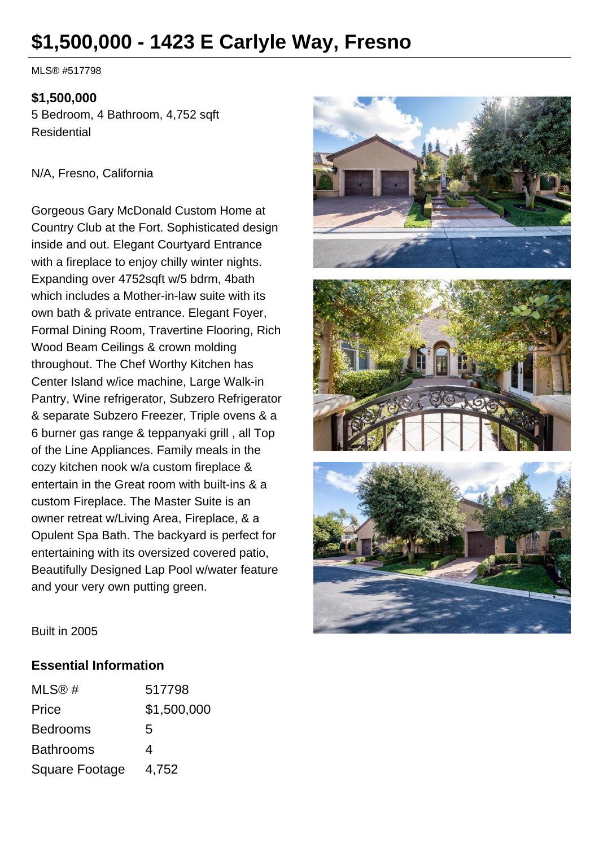# **\$1,500,000 - 1423 E Carlyle Way, Fresno**

MLS® #517798

#### **\$1,500,000**

5 Bedroom, 4 Bathroom, 4,752 sqft Residential

#### N/A, Fresno, California

Gorgeous Gary McDonald Custom Home at Country Club at the Fort. Sophisticated design inside and out. Elegant Courtyard Entrance with a fireplace to enjoy chilly winter nights. Expanding over 4752sqft w/5 bdrm, 4bath which includes a Mother-in-law suite with its own bath & private entrance. Elegant Foyer, Formal Dining Room, Travertine Flooring, Rich Wood Beam Ceilings & crown molding throughout. The Chef Worthy Kitchen has Center Island w/ice machine, Large Walk-in Pantry, Wine refrigerator, Subzero Refrigerator & separate Subzero Freezer, Triple ovens & a 6 burner gas range & teppanyaki grill , all Top of the Line Appliances. Family meals in the cozy kitchen nook w/a custom fireplace & entertain in the Great room with built-ins & a custom Fireplace. The Master Suite is an owner retreat w/Living Area, Fireplace, & a Opulent Spa Bath. The backyard is perfect for entertaining with its oversized covered patio, Beautifully Designed Lap Pool w/water feature and your very own putting green.







Built in 2005

### **Essential Information**

| MLS@#            | 517798      |
|------------------|-------------|
| Price            | \$1,500,000 |
| <b>Bedrooms</b>  | 5           |
| <b>Bathrooms</b> | 4           |
| Square Footage   | 4,752       |